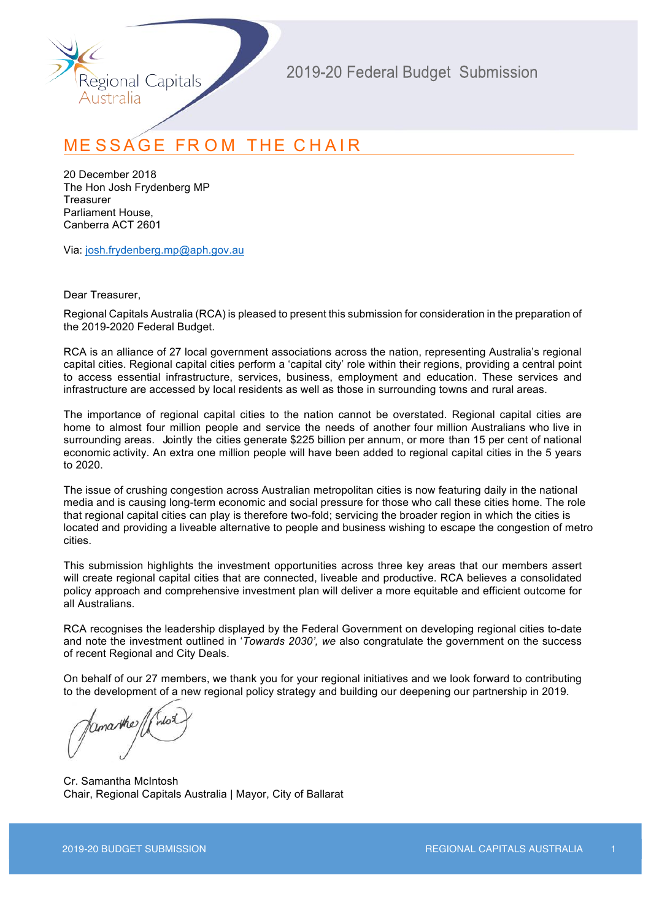

## **MESSAGE FROM THE CHAIR**

20 December 2018 The Hon Josh Frydenberg MP **Treasurer** Parliament House, Canberra ACT 2601

Via: josh.frydenberg.mp@aph.gov.au

Dear Treasurer,

Regional Capitals Australia (RCA) is pleased to present this submission for consideration in the preparation of the 2019-2020 Federal Budget.

RCA is an alliance of 27 local government associations across the nation, representing Australia's regional capital cities. Regional capital cities perform a 'capital city' role within their regions, providing a central point to access essential infrastructure, services, business, employment and education. These services and infrastructure are accessed by local residents as well as those in surrounding towns and rural areas.

The importance of regional capital cities to the nation cannot be overstated. Regional capital cities are home to almost four million people and service the needs of another four million Australians who live in surrounding areas. Jointly the cities generate \$225 billion per annum, or more than 15 per cent of national economic activity. An extra one million people will have been added to regional capital cities in the 5 years to 2020.

The issue of crushing congestion across Australian metropolitan cities is now featuring daily in the national media and is causing long-term economic and social pressure for those who call these cities home. The role that regional capital cities can play is therefore two-fold; servicing the broader region in which the cities is located and providing a liveable alternative to people and business wishing to escape the congestion of metro cities.

This submission highlights the investment opportunities across three key areas that our members assert will create regional capital cities that are connected, liveable and productive. RCA believes a consolidated policy approach and comprehensive investment plan will deliver a more equitable and efficient outcome for all Australians.

RCA recognises the leadership displayed by the Federal Government on developing regional cities to-date and note the investment outlined in '*Towards 2030', we* also congratulate the government on the success of recent Regional and City Deals.

On behalf of our 27 members, we thank you for your regional initiatives and we look forward to contributing to the development of a new regional policy strategy and building our deepening our partnership in 2019.

Cr. Samantha McIntosh Chair, Regional Capitals Australia | Mayor, City of Ballarat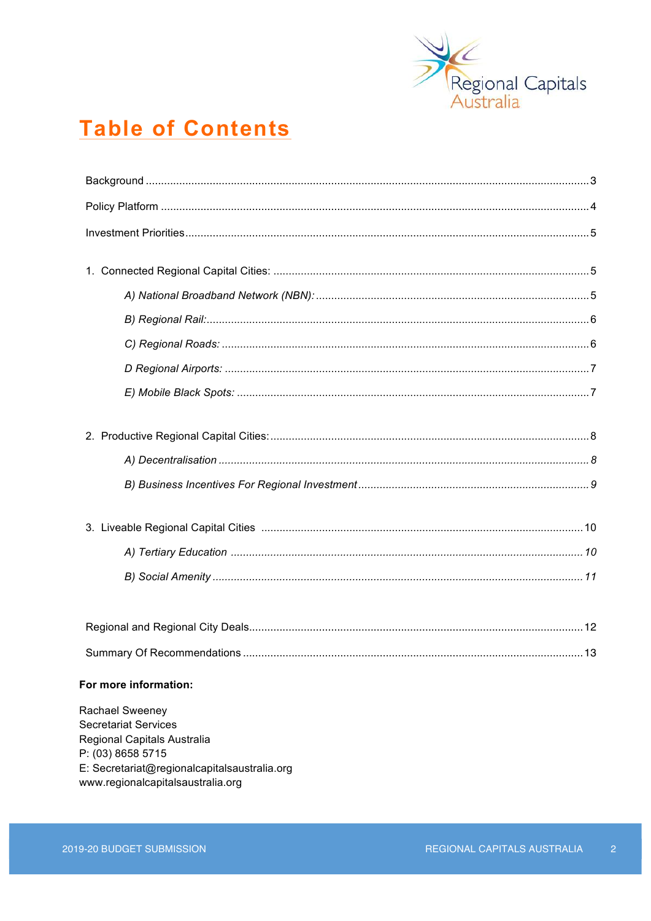

# **Table of Contents**

| Summary Of Recommendations<br>13.                          |  |  |  |  |
|------------------------------------------------------------|--|--|--|--|
| For more information:                                      |  |  |  |  |
| Rachael Sweeney                                            |  |  |  |  |
| <b>Secretariat Services</b><br>Regional Capitals Australia |  |  |  |  |
| P: (03) 8658 5715                                          |  |  |  |  |

E: Secretariat@regionalcapitalsaustralia.org

www.regionalcapitalsaustralia.org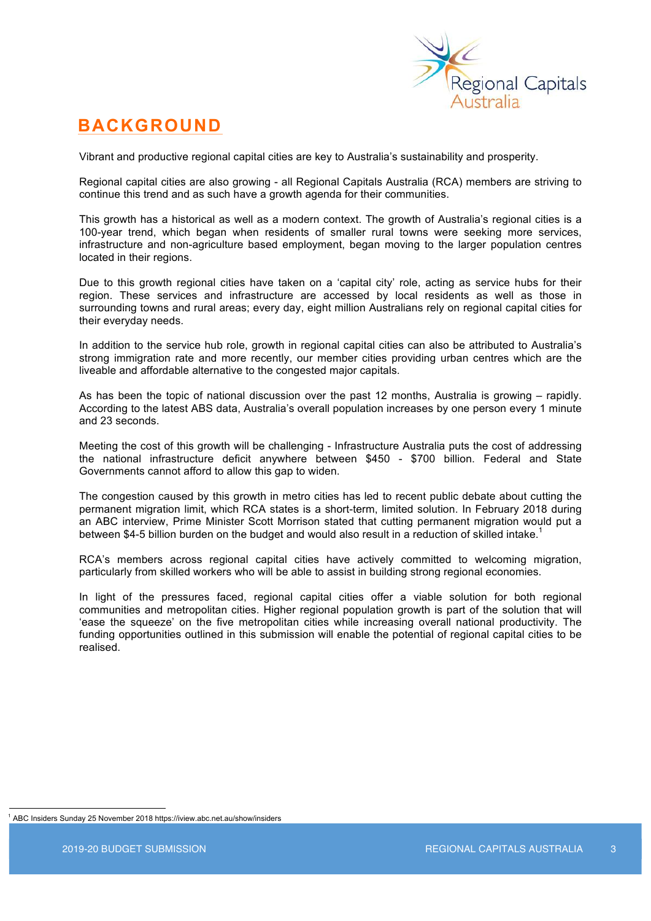

### **BACKGROUND**

Vibrant and productive regional capital cities are key to Australia's sustainability and prosperity.

Regional capital cities are also growing - all Regional Capitals Australia (RCA) members are striving to continue this trend and as such have a growth agenda for their communities.

This growth has a historical as well as a modern context. The growth of Australia's regional cities is a 100-year trend, which began when residents of smaller rural towns were seeking more services, infrastructure and non-agriculture based employment, began moving to the larger population centres located in their regions.

Due to this growth regional cities have taken on a 'capital city' role, acting as service hubs for their region. These services and infrastructure are accessed by local residents as well as those in surrounding towns and rural areas; every day, eight million Australians rely on regional capital cities for their everyday needs.

In addition to the service hub role, growth in regional capital cities can also be attributed to Australia's strong immigration rate and more recently, our member cities providing urban centres which are the liveable and affordable alternative to the congested major capitals.

As has been the topic of national discussion over the past 12 months, Australia is growing – rapidly. According to the latest ABS data, Australia's overall population increases by one person every 1 minute and 23 seconds.

Meeting the cost of this growth will be challenging - Infrastructure Australia puts the cost of addressing the national infrastructure deficit anywhere between \$450 - \$700 billion. Federal and State Governments cannot afford to allow this gap to widen.

The congestion caused by this growth in metro cities has led to recent public debate about cutting the permanent migration limit, which RCA states is a short-term, limited solution. In February 2018 during an ABC interview, Prime Minister Scott Morrison stated that cutting permanent migration would put a between \$4-5 billion burden on the budget and would also result in a reduction of skilled intake.<sup>1</sup>

RCA's members across regional capital cities have actively committed to welcoming migration, particularly from skilled workers who will be able to assist in building strong regional economies.

In light of the pressures faced, regional capital cities offer a viable solution for both regional communities and metropolitan cities. Higher regional population growth is part of the solution that will 'ease the squeeze' on the five metropolitan cities while increasing overall national productivity. The funding opportunities outlined in this submission will enable the potential of regional capital cities to be realised.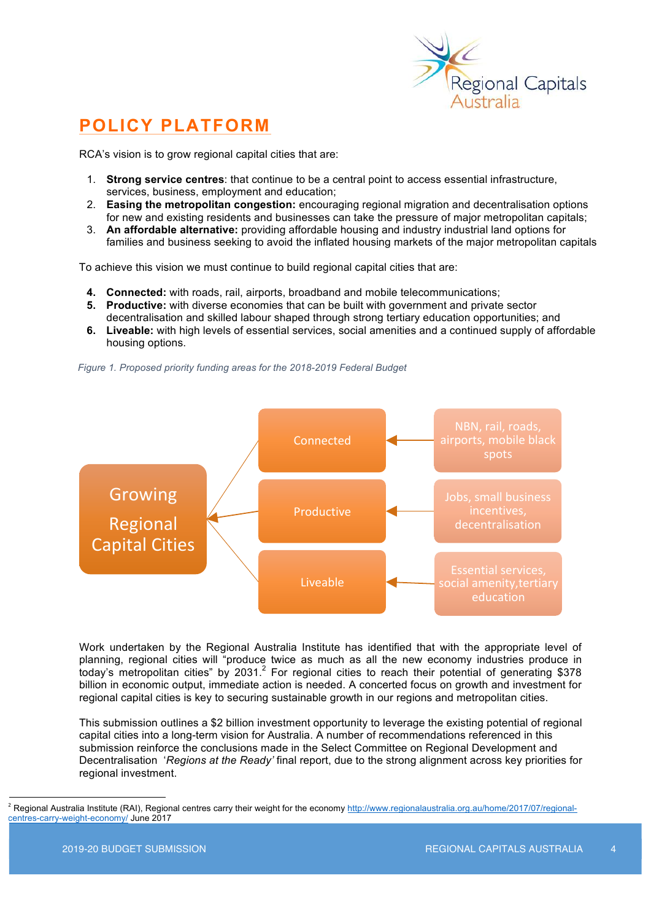

## **POLICY PLATFORM**

RCA's vision is to grow regional capital cities that are:

- 1. **Strong service centres**: that continue to be a central point to access essential infrastructure, services, business, employment and education;
- 2. **Easing the metropolitan congestion:** encouraging regional migration and decentralisation options for new and existing residents and businesses can take the pressure of major metropolitan capitals;
- 3. **An affordable alternative:** providing affordable housing and industry industrial land options for families and business seeking to avoid the inflated housing markets of the major metropolitan capitals

To achieve this vision we must continue to build regional capital cities that are:

- **4. Connected:** with roads, rail, airports, broadband and mobile telecommunications;
- **5. Productive:** with diverse economies that can be built with government and private sector decentralisation and skilled labour shaped through strong tertiary education opportunities; and
- **6. Liveable:** with high levels of essential services, social amenities and a continued supply of affordable housing options.

*Figure 1. Proposed priority funding areas for the 2018-2019 Federal Budget*



Work undertaken by the Regional Australia Institute has identified that with the appropriate level of planning, regional cities will "produce twice as much as all the new economy industries produce in today's metropolitan cities" by 2031.<sup>2</sup> For regional cities to reach their potential of generating \$378 billion in economic output, immediate action is needed. A concerted focus on growth and investment for regional capital cities is key to securing sustainable growth in our regions and metropolitan cities.

This submission outlines a \$2 billion investment opportunity to leverage the existing potential of regional capital cities into a long-term vision for Australia. A number of recommendations referenced in this submission reinforce the conclusions made in the Select Committee on Regional Development and Decentralisation '*Regions at the Ready'* final report, due to the strong alignment across key priorities for regional investment.

<sup>&</sup>lt;sup>2</sup> Regional Australia Institute (RAI), Regional centres carry their weight for the economy http://www.regionalaustralia.org.au/home/2017/07/regionalcentres-carry-weight-economy/ June 2017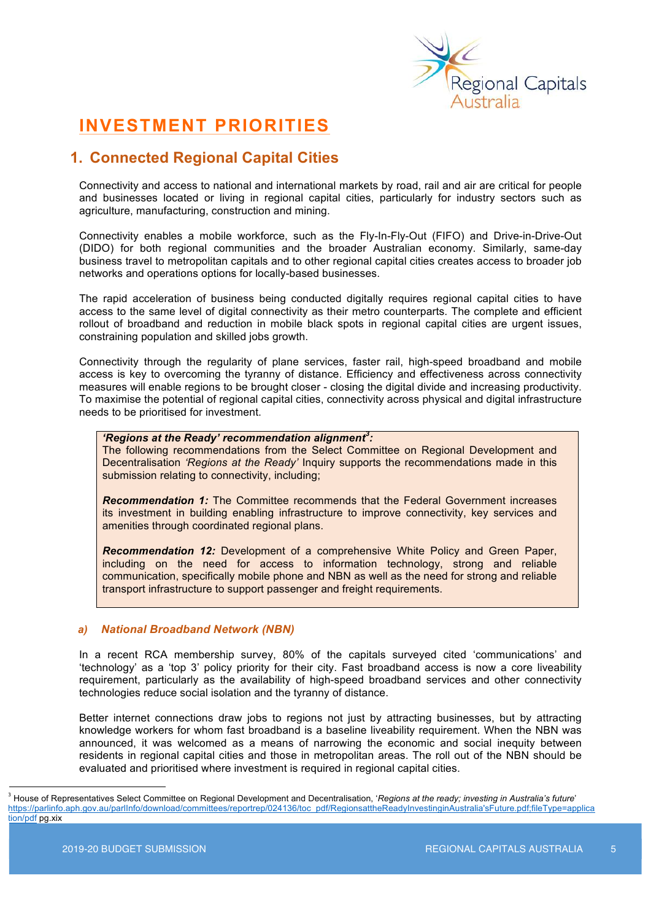

## **INVESTMENT PRIORITIES**

### **1. Connected Regional Capital Cities**

Connectivity and access to national and international markets by road, rail and air are critical for people and businesses located or living in regional capital cities, particularly for industry sectors such as agriculture, manufacturing, construction and mining.

Connectivity enables a mobile workforce, such as the Fly-In-Fly-Out (FIFO) and Drive-in-Drive-Out (DIDO) for both regional communities and the broader Australian economy. Similarly, same-day business travel to metropolitan capitals and to other regional capital cities creates access to broader job networks and operations options for locally-based businesses.

The rapid acceleration of business being conducted digitally requires regional capital cities to have access to the same level of digital connectivity as their metro counterparts. The complete and efficient rollout of broadband and reduction in mobile black spots in regional capital cities are urgent issues, constraining population and skilled jobs growth.

Connectivity through the regularity of plane services, faster rail, high-speed broadband and mobile access is key to overcoming the tyranny of distance. Efficiency and effectiveness across connectivity measures will enable regions to be brought closer - closing the digital divide and increasing productivity. To maximise the potential of regional capital cities, connectivity across physical and digital infrastructure needs to be prioritised for investment.

#### *'Regions at the Ready' recommendation alignment<sup>3</sup> :*

The following recommendations from the Select Committee on Regional Development and Decentralisation *'Regions at the Ready'* Inquiry supports the recommendations made in this submission relating to connectivity, including;

**Recommendation 1:** The Committee recommends that the Federal Government increases its investment in building enabling infrastructure to improve connectivity, key services and amenities through coordinated regional plans.

*Recommendation 12:* Development of a comprehensive White Policy and Green Paper, including on the need for access to information technology, strong and reliable communication, specifically mobile phone and NBN as well as the need for strong and reliable transport infrastructure to support passenger and freight requirements.

#### *a) National Broadband Network (NBN)*

In a recent RCA membership survey, 80% of the capitals surveyed cited 'communications' and 'technology' as a 'top 3' policy priority for their city. Fast broadband access is now a core liveability requirement, particularly as the availability of high-speed broadband services and other connectivity technologies reduce social isolation and the tyranny of distance.

Better internet connections draw jobs to regions not just by attracting businesses, but by attracting knowledge workers for whom fast broadband is a baseline liveability requirement. When the NBN was announced, it was welcomed as a means of narrowing the economic and social inequity between residents in regional capital cities and those in metropolitan areas. The roll out of the NBN should be evaluated and prioritised where investment is required in regional capital cities.

<sup>&</sup>lt;sup>3</sup> House of Representatives Select Committee on Regional Development and Decentralisation, '*Regions at the ready; investing in Australia's future'* https://parlinfo.aph.gov.au/parlInfo/download/committees/reportrep/024136/toc\_pdf/RegionsattheReadyInvestinginAustralia'sFuture.pdf;fileType=applica tion/pdf pg.xix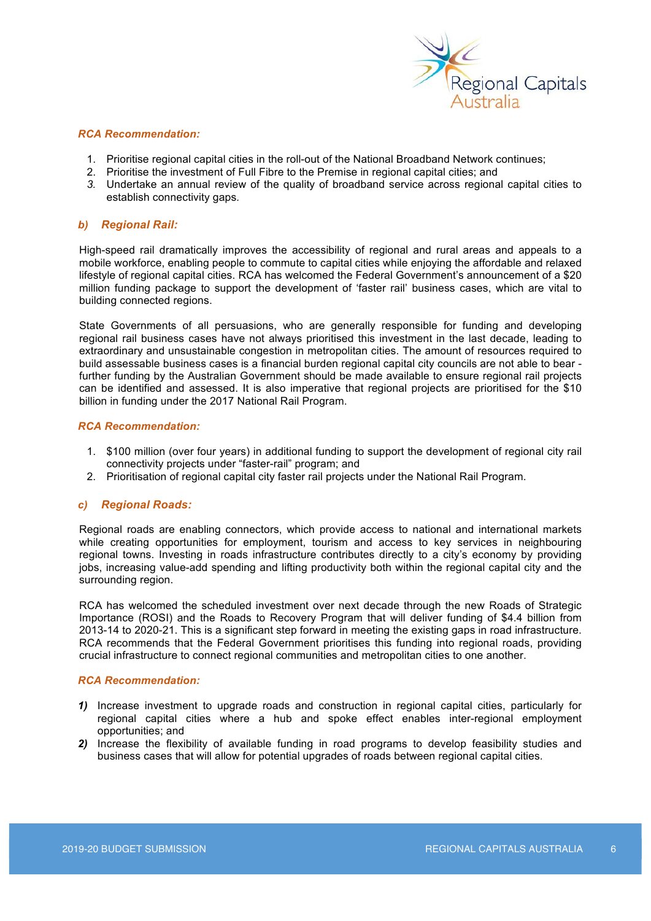

#### *RCA Recommendation:*

- 1. Prioritise regional capital cities in the roll-out of the National Broadband Network continues;
- 2. Prioritise the investment of Full Fibre to the Premise in regional capital cities; and
- *3.* Undertake an annual review of the quality of broadband service across regional capital cities to establish connectivity gaps*.*

#### *b) Regional Rail:*

High-speed rail dramatically improves the accessibility of regional and rural areas and appeals to a mobile workforce, enabling people to commute to capital cities while enjoying the affordable and relaxed lifestyle of regional capital cities. RCA has welcomed the Federal Government's announcement of a \$20 million funding package to support the development of 'faster rail' business cases, which are vital to building connected regions.

State Governments of all persuasions, who are generally responsible for funding and developing regional rail business cases have not always prioritised this investment in the last decade, leading to extraordinary and unsustainable congestion in metropolitan cities. The amount of resources required to build assessable business cases is a financial burden regional capital city councils are not able to bear further funding by the Australian Government should be made available to ensure regional rail projects can be identified and assessed. It is also imperative that regional projects are prioritised for the \$10 billion in funding under the 2017 National Rail Program.

#### *RCA Recommendation:*

- 1. \$100 million (over four years) in additional funding to support the development of regional city rail connectivity projects under "faster-rail" program; and
- 2. Prioritisation of regional capital city faster rail projects under the National Rail Program.

#### *c) Regional Roads:*

Regional roads are enabling connectors, which provide access to national and international markets while creating opportunities for employment, tourism and access to key services in neighbouring regional towns. Investing in roads infrastructure contributes directly to a city's economy by providing jobs, increasing value-add spending and lifting productivity both within the regional capital city and the surrounding region.

RCA has welcomed the scheduled investment over next decade through the new Roads of Strategic Importance (ROSI) and the Roads to Recovery Program that will deliver funding of \$4.4 billion from 2013-14 to 2020-21. This is a significant step forward in meeting the existing gaps in road infrastructure. RCA recommends that the Federal Government prioritises this funding into regional roads, providing crucial infrastructure to connect regional communities and metropolitan cities to one another.

- *1)* Increase investment to upgrade roads and construction in regional capital cities, particularly for regional capital cities where a hub and spoke effect enables inter-regional employment opportunities; and
- *2)* Increase the flexibility of available funding in road programs to develop feasibility studies and business cases that will allow for potential upgrades of roads between regional capital cities.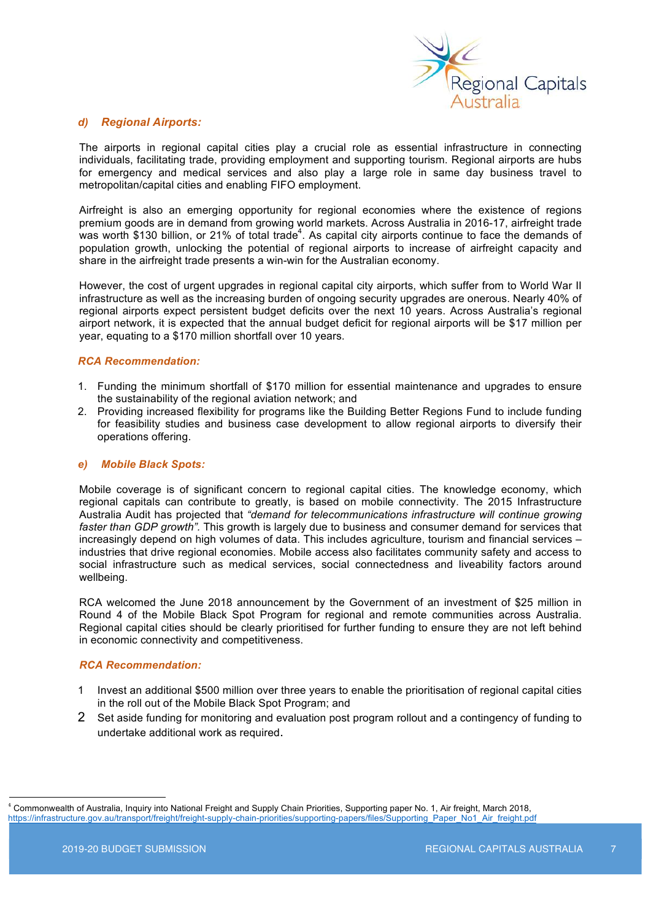

#### *d) Regional Airports:*

The airports in regional capital cities play a crucial role as essential infrastructure in connecting individuals, facilitating trade, providing employment and supporting tourism. Regional airports are hubs for emergency and medical services and also play a large role in same day business travel to metropolitan/capital cities and enabling FIFO employment.

Airfreight is also an emerging opportunity for regional economies where the existence of regions premium goods are in demand from growing world markets. Across Australia in 2016-17, airfreight trade was worth \$130 billion, or 21% of total trade<sup>4</sup>. As capital city airports continue to face the demands of population growth, unlocking the potential of regional airports to increase of airfreight capacity and share in the airfreight trade presents a win-win for the Australian economy.

However, the cost of urgent upgrades in regional capital city airports, which suffer from to World War II infrastructure as well as the increasing burden of ongoing security upgrades are onerous. Nearly 40% of regional airports expect persistent budget deficits over the next 10 years. Across Australia's regional airport network, it is expected that the annual budget deficit for regional airports will be \$17 million per year, equating to a \$170 million shortfall over 10 years.

#### *RCA Recommendation:*

- 1. Funding the minimum shortfall of \$170 million for essential maintenance and upgrades to ensure the sustainability of the regional aviation network; and
- 2. Providing increased flexibility for programs like the Building Better Regions Fund to include funding for feasibility studies and business case development to allow regional airports to diversify their operations offering.

#### *e) Mobile Black Spots:*

Mobile coverage is of significant concern to regional capital cities. The knowledge economy, which regional capitals can contribute to greatly, is based on mobile connectivity. The 2015 Infrastructure Australia Audit has projected that *"demand for telecommunications infrastructure will continue growing faster than GDP growth".* This growth is largely due to business and consumer demand for services that increasingly depend on high volumes of data. This includes agriculture, tourism and financial services – industries that drive regional economies. Mobile access also facilitates community safety and access to social infrastructure such as medical services, social connectedness and liveability factors around wellbeing.

RCA welcomed the June 2018 announcement by the Government of an investment of \$25 million in Round 4 of the Mobile Black Spot Program for regional and remote communities across Australia. Regional capital cities should be clearly prioritised for further funding to ensure they are not left behind in economic connectivity and competitiveness.

- 1 Invest an additional \$500 million over three years to enable the prioritisation of regional capital cities in the roll out of the Mobile Black Spot Program; and
- 2 Set aside funding for monitoring and evaluation post program rollout and a contingency of funding to undertake additional work as required.

 <sup>4</sup> Commonwealth of Australia, Inquiry into National Freight and Supply Chain Priorities, Supporting paper No. 1, Air freight, March 2018, https://infrastructure.gov.au/transport/freight/freight-supply-chain-priorities/supporting-papers/files/Supporting\_Paper\_No1\_Air\_freight.pdf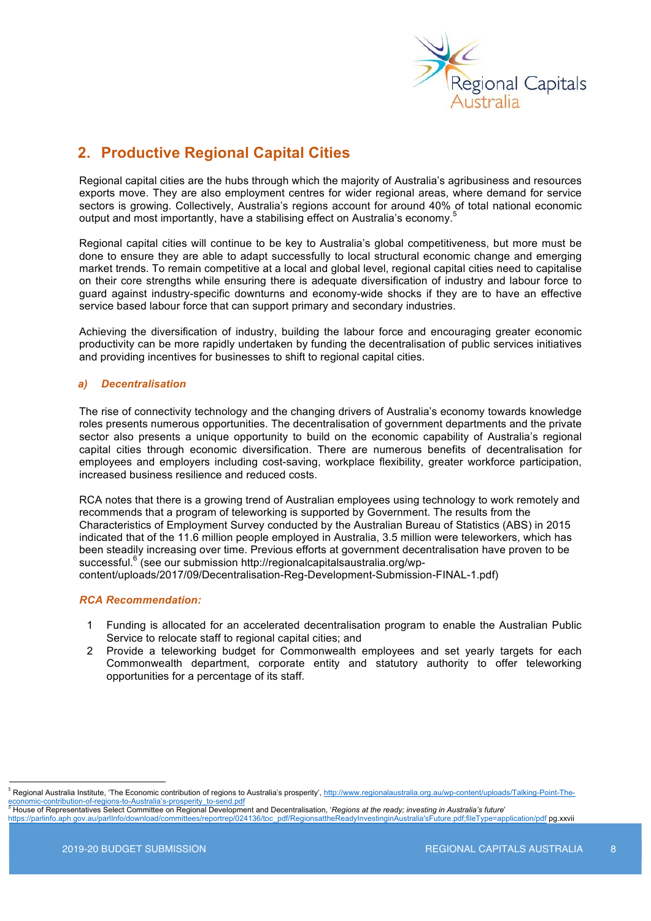

### **2. Productive Regional Capital Cities**

Regional capital cities are the hubs through which the majority of Australia's agribusiness and resources exports move. They are also employment centres for wider regional areas, where demand for service sectors is growing. Collectively, Australia's regions account for around 40% of total national economic output and most importantly, have a stabilising effect on Australia's economy.<sup>5</sup>

Regional capital cities will continue to be key to Australia's global competitiveness, but more must be done to ensure they are able to adapt successfully to local structural economic change and emerging market trends. To remain competitive at a local and global level, regional capital cities need to capitalise on their core strengths while ensuring there is adequate diversification of industry and labour force to guard against industry-specific downturns and economy-wide shocks if they are to have an effective service based labour force that can support primary and secondary industries.

Achieving the diversification of industry, building the labour force and encouraging greater economic productivity can be more rapidly undertaken by funding the decentralisation of public services initiatives and providing incentives for businesses to shift to regional capital cities.

#### *a) Decentralisation*

The rise of connectivity technology and the changing drivers of Australia's economy towards knowledge roles presents numerous opportunities. The decentralisation of government departments and the private sector also presents a unique opportunity to build on the economic capability of Australia's regional capital cities through economic diversification. There are numerous benefits of decentralisation for employees and employers including cost-saving, workplace flexibility, greater workforce participation, increased business resilience and reduced costs.

RCA notes that there is a growing trend of Australian employees using technology to work remotely and recommends that a program of teleworking is supported by Government. The results from the Characteristics of Employment Survey conducted by the Australian Bureau of Statistics (ABS) in 2015 indicated that of the 11.6 million people employed in Australia, 3.5 million were teleworkers, which has been steadily increasing over time. Previous efforts at government decentralisation have proven to be successful.<sup>6</sup> (see our submission http://regionalcapitalsaustralia.org/wpcontent/uploads/2017/09/Decentralisation-Reg-Development-Submission-FINAL-1.pdf)

- 1 Funding is allocated for an accelerated decentralisation program to enable the Australian Public Service to relocate staff to regional capital cities; and
- 2 Provide a teleworking budget for Commonwealth employees and set yearly targets for each Commonwealth department, corporate entity and statutory authority to offer teleworking opportunities for a percentage of its staff.

<sup>&</sup>lt;sup>5</sup> Regional Australia Institute, 'The Economic contribution of regions to Australia's prosperity', <u>http://www.regionalaustralia.org.au/wp-content/uploads/Talking-Point-The-</u><br>economic-contribution-of-regions-to-Australia'

economic-contribution-of-regions-to-Australia's-prosperity\_to-send.pdf <sup>6</sup> House of Representatives Select Committee on Regional Development and Decentralisation, '*Regions at the ready; investing in Australia's future*' https://parlinfo.aph.gov.au/parlInfo/download/committees/reportrep/024136/toc\_pdf/RegionsattheReadyInvestinginAustralia'sFuture.pdf;fileType=application/pdf pg.xxvii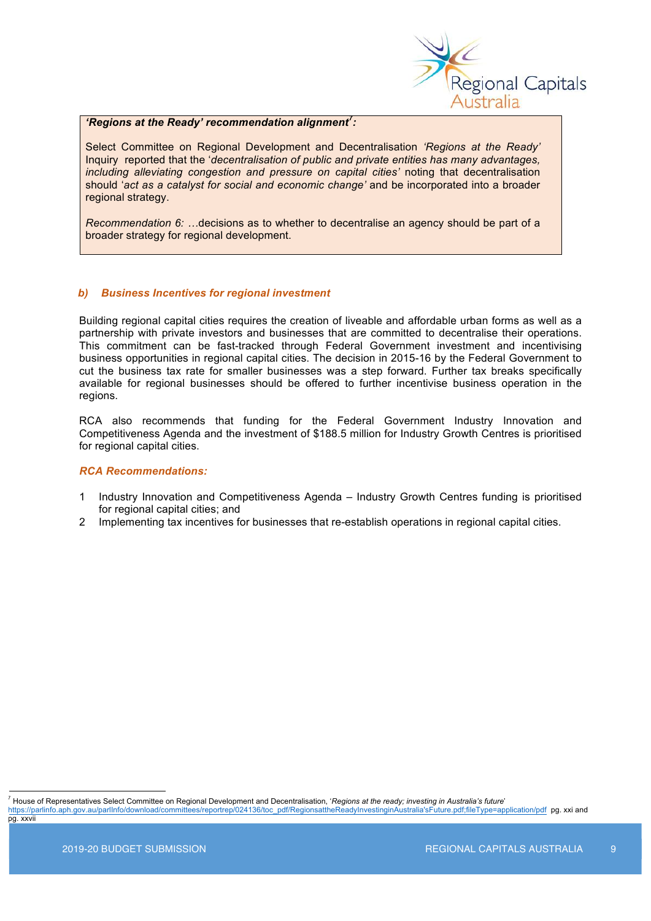

#### *'Regions at the Ready' recommendation alignment<sup>7</sup> :*

Select Committee on Regional Development and Decentralisation *'Regions at the Ready'* Inquiry reported that the '*decentralisation of public and private entities has many advantages, including alleviating congestion and pressure on capital cities'* noting that decentralisation should '*act as a catalyst for social and economic change'* and be incorporated into a broader regional strategy.

*Recommendation 6: …*decisions as to whether to decentralise an agency should be part of a broader strategy for regional development.

#### *b) Business Incentives for regional investment*

Building regional capital cities requires the creation of liveable and affordable urban forms as well as a partnership with private investors and businesses that are committed to decentralise their operations. This commitment can be fast-tracked through Federal Government investment and incentivising business opportunities in regional capital cities. The decision in 2015-16 by the Federal Government to cut the business tax rate for smaller businesses was a step forward. Further tax breaks specifically available for regional businesses should be offered to further incentivise business operation in the regions.

RCA also recommends that funding for the Federal Government Industry Innovation and Competitiveness Agenda and the investment of \$188.5 million for Industry Growth Centres is prioritised for regional capital cities.

#### *RCA Recommendations:*

- 1 Industry Innovation and Competitiveness Agenda Industry Growth Centres funding is prioritised for regional capital cities; and
- 2 Implementing tax incentives for businesses that re-establish operations in regional capital cities.

 7 House of Representatives Select Committee on Regional Development and Decentralisation, '*Regions at the ready; investing in Australia's future*' https://parlinfo.aph.gov.au/parlInfo/download/committees/reportrep/024136/toc\_pdf/RegionsattheReadyInvestinginAustralia'sFuture.pdf;fileType=application/pdf pg. xxi and pg. xxvii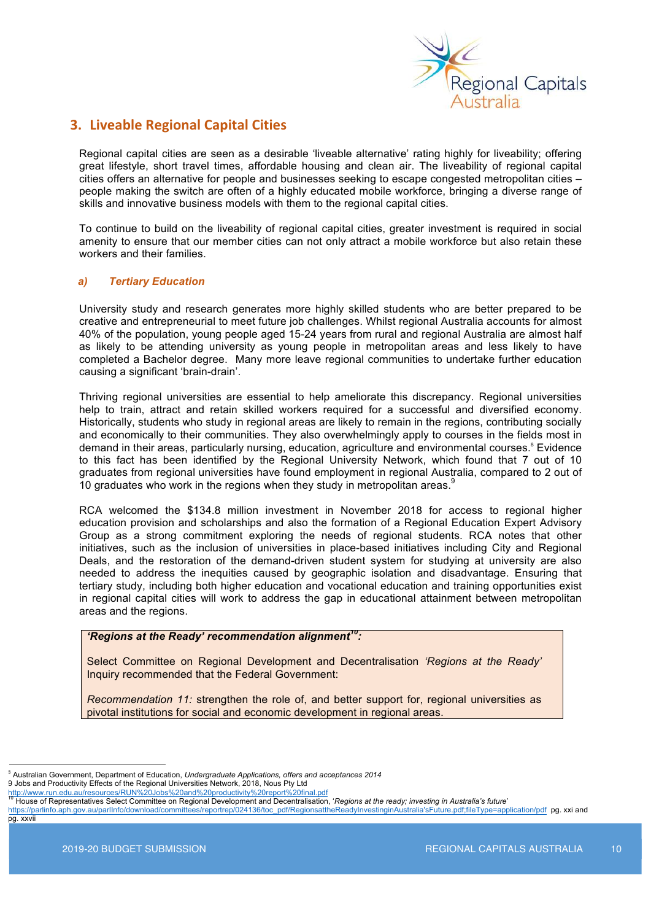

### **3. Liveable Regional Capital Cities**

Regional capital cities are seen as a desirable 'liveable alternative' rating highly for liveability; offering great lifestyle, short travel times, affordable housing and clean air. The liveability of regional capital cities offers an alternative for people and businesses seeking to escape congested metropolitan cities – people making the switch are often of a highly educated mobile workforce, bringing a diverse range of skills and innovative business models with them to the regional capital cities.

To continue to build on the liveability of regional capital cities, greater investment is required in social amenity to ensure that our member cities can not only attract a mobile workforce but also retain these workers and their families.

#### *a) Tertiary Education*

University study and research generates more highly skilled students who are better prepared to be creative and entrepreneurial to meet future job challenges. Whilst regional Australia accounts for almost 40% of the population, young people aged 15-24 years from rural and regional Australia are almost half as likely to be attending university as young people in metropolitan areas and less likely to have completed a Bachelor degree. Many more leave regional communities to undertake further education causing a significant 'brain-drain'.

Thriving regional universities are essential to help ameliorate this discrepancy. Regional universities help to train, attract and retain skilled workers required for a successful and diversified economy. Historically, students who study in regional areas are likely to remain in the regions, contributing socially and economically to their communities. They also overwhelmingly apply to courses in the fields most in demand in their areas, particularly nursing, education, agriculture and environmental courses.<sup>8</sup> Evidence to this fact has been identified by the Regional University Network, which found that 7 out of 10 graduates from regional universities have found employment in regional Australia, compared to 2 out of 10 graduates who work in the regions when they study in metropolitan areas.<sup>9</sup>

RCA welcomed the \$134.8 million investment in November 2018 for access to regional higher education provision and scholarships and also the formation of a Regional Education Expert Advisory Group as a strong commitment exploring the needs of regional students. RCA notes that other initiatives, such as the inclusion of universities in place-based initiatives including City and Regional Deals, and the restoration of the demand-driven student system for studying at university are also needed to address the inequities caused by geographic isolation and disadvantage. Ensuring that tertiary study, including both higher education and vocational education and training opportunities exist in regional capital cities will work to address the gap in educational attainment between metropolitan areas and the regions.

#### *'Regions at the Ready' recommendation alignment10:*

Select Committee on Regional Development and Decentralisation *'Regions at the Ready'* Inquiry recommended that the Federal Government:

*Recommendation 11:* strengthen the role of, and better support for, regional universities as pivotal institutions for social and economic development in regional areas.

<sup>&</sup>lt;sup>3</sup> Australian Government, Department of Education, *Undergraduate Applications, offers and acceptances 2014* 

<sup>9</sup> Jobs and Productivity Effects of the Regional Universities Network, 2018, Nous Pty Ltd

http://www.run.edu.au/resources/RUN%20Jobs%20and%20productivity%20report%20final.pdf<br><sup>10</sup> House of Representatives Select Committee on Regional Development and Decentralisation, '*Regions at the ready; investing in Austral* 

https://parlinfo.aph.gov.au/parlInfo/download/committees/reportrep/024136/toc\_pdf/RegionsattheReadyInvestinginAustralia'sFuture.pdf;fileType=application/pdf pg. xxi and pg. xxvii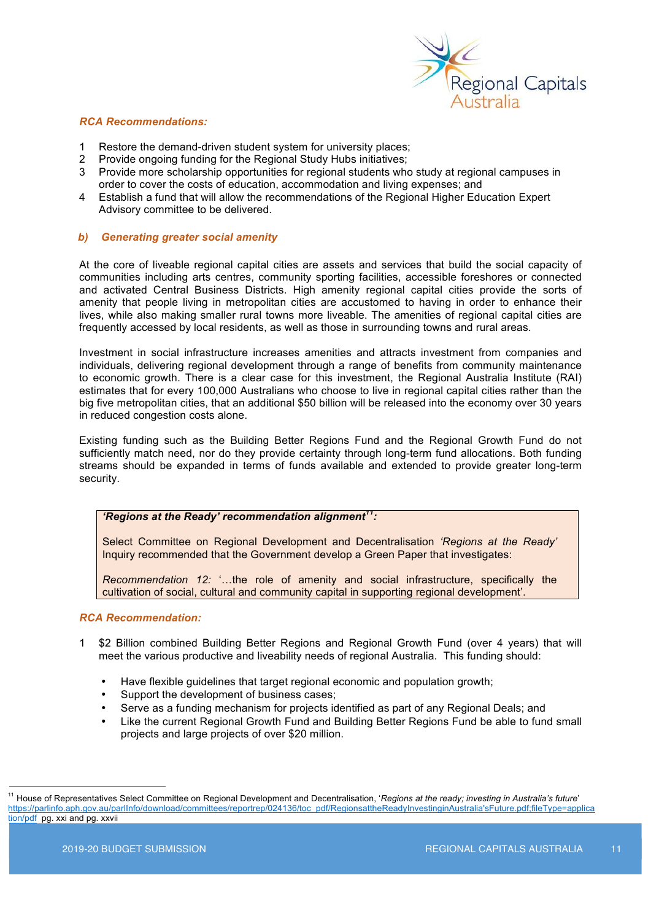

#### *RCA Recommendations:*

- 1 Restore the demand-driven student system for university places;
- 2 Provide ongoing funding for the Regional Study Hubs initiatives;
- 3 Provide more scholarship opportunities for regional students who study at regional campuses in order to cover the costs of education, accommodation and living expenses; and
- 4 Establish a fund that will allow the recommendations of the Regional Higher Education Expert Advisory committee to be delivered.

#### *b) Generating greater social amenity*

At the core of liveable regional capital cities are assets and services that build the social capacity of communities including arts centres, community sporting facilities, accessible foreshores or connected and activated Central Business Districts. High amenity regional capital cities provide the sorts of amenity that people living in metropolitan cities are accustomed to having in order to enhance their lives, while also making smaller rural towns more liveable. The amenities of regional capital cities are frequently accessed by local residents, as well as those in surrounding towns and rural areas.

Investment in social infrastructure increases amenities and attracts investment from companies and individuals, delivering regional development through a range of benefits from community maintenance to economic growth. There is a clear case for this investment, the Regional Australia Institute (RAI) estimates that for every 100,000 Australians who choose to live in regional capital cities rather than the big five metropolitan cities, that an additional \$50 billion will be released into the economy over 30 years in reduced congestion costs alone.

Existing funding such as the Building Better Regions Fund and the Regional Growth Fund do not sufficiently match need, nor do they provide certainty through long-term fund allocations. Both funding streams should be expanded in terms of funds available and extended to provide greater long-term security.

#### *'Regions at the Ready' recommendation alignment11:*

Select Committee on Regional Development and Decentralisation *'Regions at the Ready'* Inquiry recommended that the Government develop a Green Paper that investigates:

*Recommendation 12:* '…the role of amenity and social infrastructure, specifically the cultivation of social, cultural and community capital in supporting regional development'.

- 1 \$2 Billion combined Building Better Regions and Regional Growth Fund (over 4 years) that will meet the various productive and liveability needs of regional Australia. This funding should:
	- Have flexible guidelines that target regional economic and population growth;
	- Support the development of business cases;
	- Serve as a funding mechanism for projects identified as part of any Regional Deals; and
	- Like the current Regional Growth Fund and Building Better Regions Fund be able to fund small projects and large projects of over \$20 million.

 <sup>11</sup> House of Representatives Select Committee on Regional Development and Decentralisation, '*Regions at the ready; investing in Australia's future*' https://parlinfo.aph.gov.au/parlInfo/download/committees/reportrep/024136/toc\_pdf/RegionsattheReadyInvestinginAustralia'sFuture.pdf;fileType=applica tion/pdf pg. xxi and pg. xxvii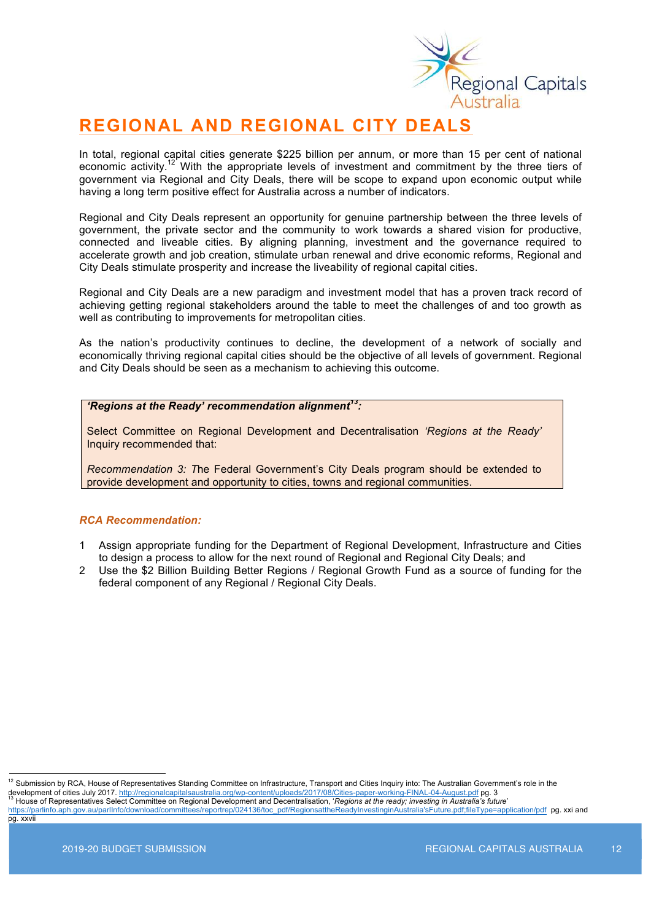

### **REGIONAL AND REGIONAL CITY DEALS**

In total, regional capital cities generate \$225 billion per annum, or more than 15 per cent of national economic activity.<sup>12</sup> With the appropriate levels of investment and commitment by the three tiers of government via Regional and City Deals, there will be scope to expand upon economic output while having a long term positive effect for Australia across a number of indicators.

Regional and City Deals represent an opportunity for genuine partnership between the three levels of government, the private sector and the community to work towards a shared vision for productive, connected and liveable cities. By aligning planning, investment and the governance required to accelerate growth and job creation, stimulate urban renewal and drive economic reforms, Regional and City Deals stimulate prosperity and increase the liveability of regional capital cities.

Regional and City Deals are a new paradigm and investment model that has a proven track record of achieving getting regional stakeholders around the table to meet the challenges of and too growth as well as contributing to improvements for metropolitan cities.

As the nation's productivity continues to decline, the development of a network of socially and economically thriving regional capital cities should be the objective of all levels of government. Regional and City Deals should be seen as a mechanism to achieving this outcome.

#### *'Regions at the Ready' recommendation alignment13:*

Select Committee on Regional Development and Decentralisation *'Regions at the Ready'* Inquiry recommended that:

*Recommendation 3: T*he Federal Government's City Deals program should be extended to provide development and opportunity to cities, towns and regional communities.

- 1 Assign appropriate funding for the Department of Regional Development, Infrastructure and Cities to design a process to allow for the next round of Regional and Regional City Deals; and
- 2 Use the \$2 Billion Building Better Regions / Regional Growth Fund as a source of funding for the federal component of any Regional / Regional City Deals.

<sup>&</sup>lt;sup>12</sup> Submission by RCA, House of Representatives Standing Committee on Infrastructure, Transport and Cities Inquiry into: The Australian Government's role in the

development of cities July 2017. http://regionalcapitalsaustralia.org/wp-content/uploads/2017/08/Cities-paper-working-FINAL-04-August.pdf pg. 3<br>
<sup>13</sup> House of Representatives Select Committee on Regional Development and De

advInvestinginAustralia'sFuture.pdf:fileType=application/pdf pg. xxi and pg. xxvii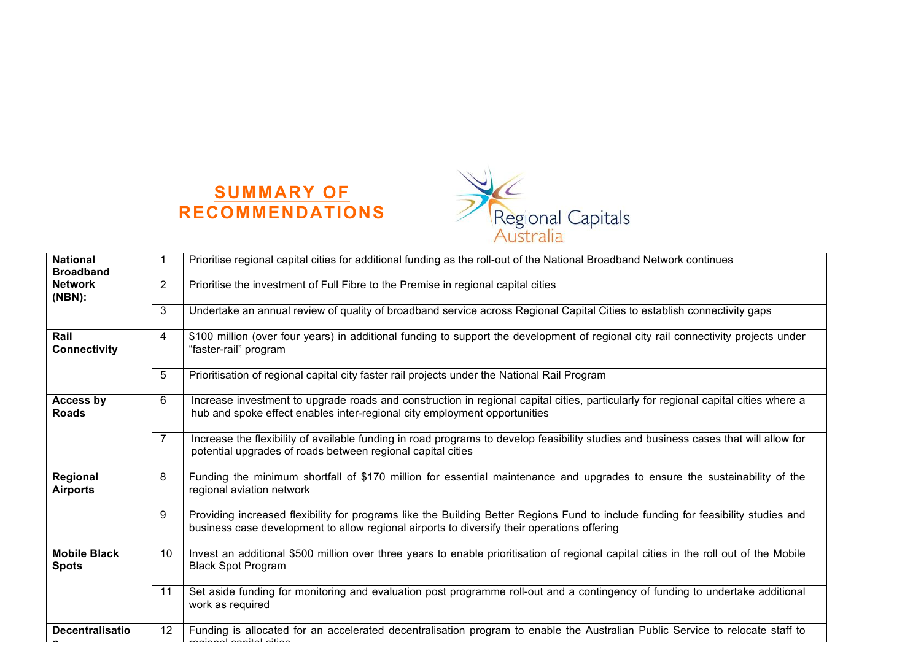



| <b>National</b><br><b>Broadband</b> |    | Prioritise regional capital cities for additional funding as the roll-out of the National Broadband Network continues                                                                                                            |
|-------------------------------------|----|----------------------------------------------------------------------------------------------------------------------------------------------------------------------------------------------------------------------------------|
| <b>Network</b><br>$(NBN)$ :         | 2  | Prioritise the investment of Full Fibre to the Premise in regional capital cities                                                                                                                                                |
|                                     | 3  | Undertake an annual review of quality of broadband service across Regional Capital Cities to establish connectivity gaps                                                                                                         |
| Rail<br><b>Connectivity</b>         | 4  | \$100 million (over four years) in additional funding to support the development of regional city rail connectivity projects under<br>"faster-rail" program                                                                      |
|                                     | 5  | Prioritisation of regional capital city faster rail projects under the National Rail Program                                                                                                                                     |
| Access by<br><b>Roads</b>           | 6  | Increase investment to upgrade roads and construction in regional capital cities, particularly for regional capital cities where a<br>hub and spoke effect enables inter-regional city employment opportunities                  |
|                                     | 7  | Increase the flexibility of available funding in road programs to develop feasibility studies and business cases that will allow for<br>potential upgrades of roads between regional capital cities                              |
| Regional<br><b>Airports</b>         | 8  | Funding the minimum shortfall of \$170 million for essential maintenance and upgrades to ensure the sustainability of the<br>regional aviation network                                                                           |
|                                     | 9  | Providing increased flexibility for programs like the Building Better Regions Fund to include funding for feasibility studies and<br>business case development to allow regional airports to diversify their operations offering |
| <b>Mobile Black</b><br><b>Spots</b> | 10 | Invest an additional \$500 million over three years to enable prioritisation of regional capital cities in the roll out of the Mobile<br><b>Black Spot Program</b>                                                               |
|                                     | 11 | Set aside funding for monitoring and evaluation post programme roll-out and a contingency of funding to undertake additional<br>work as required                                                                                 |
| <b>Decentralisatio</b>              | 12 | Funding is allocated for an accelerated decentralisation program to enable the Australian Public Service to relocate staff to<br>حماظام اجطاحكم اجعدكمكم                                                                         |